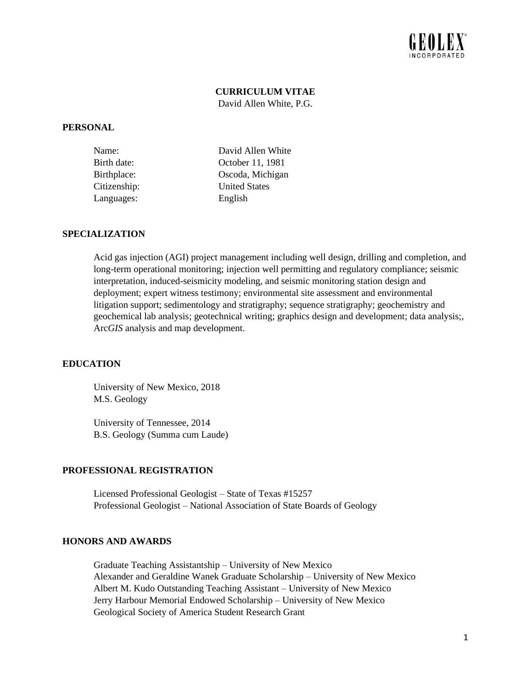

# **CURRICULUM VITAE**

David Allen White, P.G.

#### **PERSONAL**

| Name:        | David Allen White    |
|--------------|----------------------|
| Birth date:  | October 11, 1981     |
| Birthplace:  | Oscoda, Michigan     |
| Citizenship: | <b>United States</b> |
| Languages:   | English              |

## **SPECIALIZATION**

Acid gas injection (AGI) project management including well design, drilling and completion, and long-term operational monitoring; injection well permitting and regulatory compliance; seismic interpretation, induced-seismicity modeling, and seismic monitoring station design and deployment; expert witness testimony; environmental site assessment and environmental litigation support; sedimentology and stratigraphy; sequence stratigraphy; geochemistry and geochemical lab analysis; geotechnical writing; graphics design and development; data analysis;, Arc*GIS* analysis and map development.

#### **EDUCATION**

University of New Mexico, 2018 M.S. Geology

University of Tennessee, 2014 B.S. Geology (Summa cum Laude)

#### **PROFESSIONAL REGISTRATION**

Licensed Professional Geologist – State of Texas #15257 Professional Geologist – National Association of State Boards of Geology

## **HONORS AND AWARDS**

Graduate Teaching Assistantship – University of New Mexico Alexander and Geraldine Wanek Graduate Scholarship – University of New Mexico Albert M. Kudo Outstanding Teaching Assistant – University of New Mexico Jerry Harbour Memorial Endowed Scholarship – University of New Mexico Geological Society of America Student Research Grant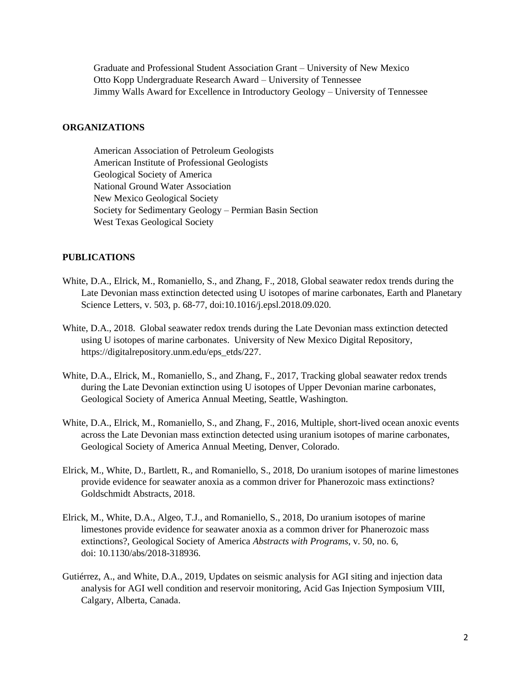Graduate and Professional Student Association Grant – University of New Mexico Otto Kopp Undergraduate Research Award – University of Tennessee Jimmy Walls Award for Excellence in Introductory Geology – University of Tennessee

## **ORGANIZATIONS**

American Association of Petroleum Geologists American Institute of Professional Geologists Geological Society of America National Ground Water Association New Mexico Geological Society Society for Sedimentary Geology – Permian Basin Section West Texas Geological Society

# **PUBLICATIONS**

- White, D.A., Elrick, M., Romaniello, S., and Zhang, F., 2018, Global seawater redox trends during the Late Devonian mass extinction detected using U isotopes of marine carbonates, Earth and Planetary Science Letters, v. 503, p. 68-77, doi:10.1016/j.epsl.2018.09.020.
- White, D.A., 2018. Global seawater redox trends during the Late Devonian mass extinction detected using U isotopes of marine carbonates. University of New Mexico Digital Repository, https://digitalrepository.unm.edu/eps\_etds/227.
- White, D.A., Elrick, M., Romaniello, S., and Zhang, F., 2017, Tracking global seawater redox trends during the Late Devonian extinction using U isotopes of Upper Devonian marine carbonates, Geological Society of America Annual Meeting, Seattle, Washington.
- White, D.A., Elrick, M., Romaniello, S., and Zhang, F., 2016, Multiple, short-lived ocean anoxic events across the Late Devonian mass extinction detected using uranium isotopes of marine carbonates, Geological Society of America Annual Meeting, Denver, Colorado.
- Elrick, M., White, D., Bartlett, R., and Romaniello, S., 2018, Do uranium isotopes of marine limestones provide evidence for seawater anoxia as a common driver for Phanerozoic mass extinctions? Goldschmidt Abstracts, 2018.
- Elrick, M., White, D.A., Algeo, T.J., and Romaniello, S., 2018, Do uranium isotopes of marine limestones provide evidence for seawater anoxia as a common driver for Phanerozoic mass extinctions?, Geological Society of America *Abstracts with Programs*, v. 50, no. 6, doi: 10.1130/abs/2018-318936.
- Gutiérrez, A., and White, D.A., 2019, Updates on seismic analysis for AGI siting and injection data analysis for AGI well condition and reservoir monitoring, Acid Gas Injection Symposium VIII, Calgary, Alberta, Canada.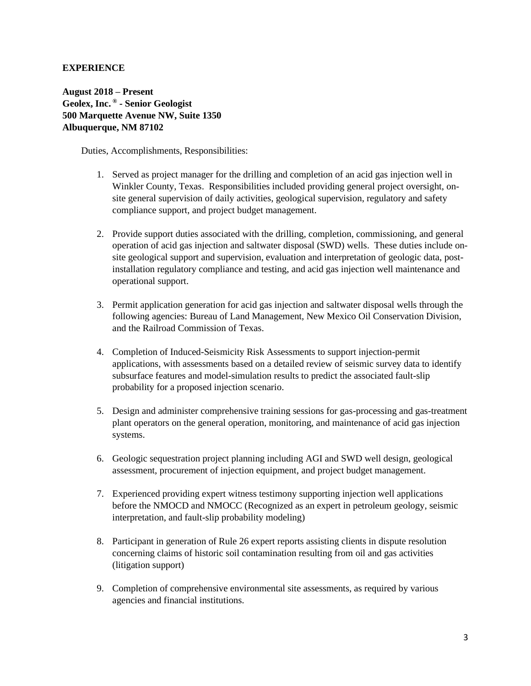# **EXPERIENCE**

**August 2018 – Present Geolex, Inc. ® - Senior Geologist 500 Marquette Avenue NW, Suite 1350 Albuquerque, NM 87102**

Duties, Accomplishments, Responsibilities:

- 1. Served as project manager for the drilling and completion of an acid gas injection well in Winkler County, Texas. Responsibilities included providing general project oversight, onsite general supervision of daily activities, geological supervision, regulatory and safety compliance support, and project budget management.
- 2. Provide support duties associated with the drilling, completion, commissioning, and general operation of acid gas injection and saltwater disposal (SWD) wells. These duties include onsite geological support and supervision, evaluation and interpretation of geologic data, postinstallation regulatory compliance and testing, and acid gas injection well maintenance and operational support.
- 3. Permit application generation for acid gas injection and saltwater disposal wells through the following agencies: Bureau of Land Management, New Mexico Oil Conservation Division, and the Railroad Commission of Texas.
- 4. Completion of Induced-Seismicity Risk Assessments to support injection-permit applications, with assessments based on a detailed review of seismic survey data to identify subsurface features and model-simulation results to predict the associated fault-slip probability for a proposed injection scenario.
- 5. Design and administer comprehensive training sessions for gas-processing and gas-treatment plant operators on the general operation, monitoring, and maintenance of acid gas injection systems.
- 6. Geologic sequestration project planning including AGI and SWD well design, geological assessment, procurement of injection equipment, and project budget management.
- 7. Experienced providing expert witness testimony supporting injection well applications before the NMOCD and NMOCC (Recognized as an expert in petroleum geology, seismic interpretation, and fault-slip probability modeling)
- 8. Participant in generation of Rule 26 expert reports assisting clients in dispute resolution concerning claims of historic soil contamination resulting from oil and gas activities (litigation support)
- 9. Completion of comprehensive environmental site assessments, as required by various agencies and financial institutions.